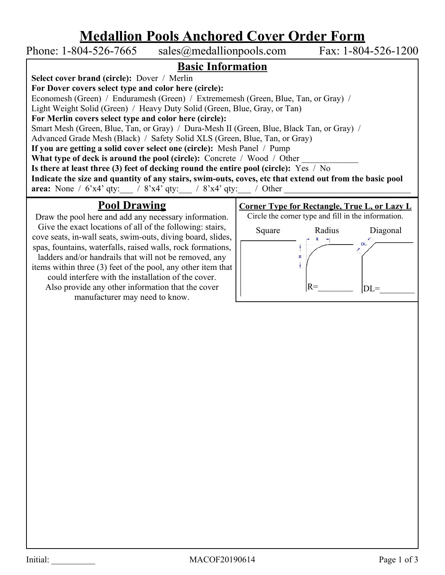## **Medallion Pools Anchored Cover Order Form**

Phone: 1-804-526-7665 sales@medallionpools.com Fax: 1-804-526-1200 **Basic Information Select cover brand (circle):** Dover / Merlin **For Dover covers select type and color here (circle):** Economesh (Green) / Enduramesh (Green) / Extrememesh (Green, Blue, Tan, or Gray) / Light Weight Solid (Green) / Heavy Duty Solid (Green, Blue, Gray, or Tan) **For Merlin covers select type and color here (circle):** Smart Mesh (Green, Blue, Tan, or Gray) / Dura-Mesh II (Green, Blue, Black Tan, or Gray) / Advanced Grade Mesh (Black) / Safety Solid XLS (Green, Blue, Tan, or Gray) **If you are getting a solid cover select one (circle):** Mesh Panel / Pump **What type of deck is around the pool (circle):** Concrete / Wood / Other **Is there at least three (3) feet of decking round the entire pool (circle):** Yes / No **Indicate the size and quantity of any stairs, swim-outs, coves, etc that extend out from the basic pool area:** None /  $6'x4'$  qty:  $\overline{a}$  /  $8'x4'$  qty:  $\overline{a}$  /  $8'x4'$  qty:  $\overline{a}$  / Other **Pool Drawing Corner Type for Rectangle, True L, or Lazy L**

Draw the pool here and add any necessary information. Give the exact locations of all of the following: stairs, cove seats, in-wall seats, swim-outs, diving board, slides, spas, fountains, waterfalls, raised walls, rock formations, ladders and/or handrails that will not be removed, any items within three (3) feet of the pool, any other item that could interfere with the installation of the cover. Also provide any other information that the cover manufacturer may need to know.

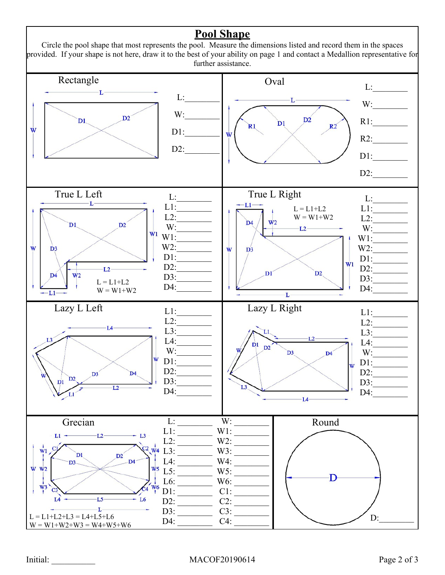